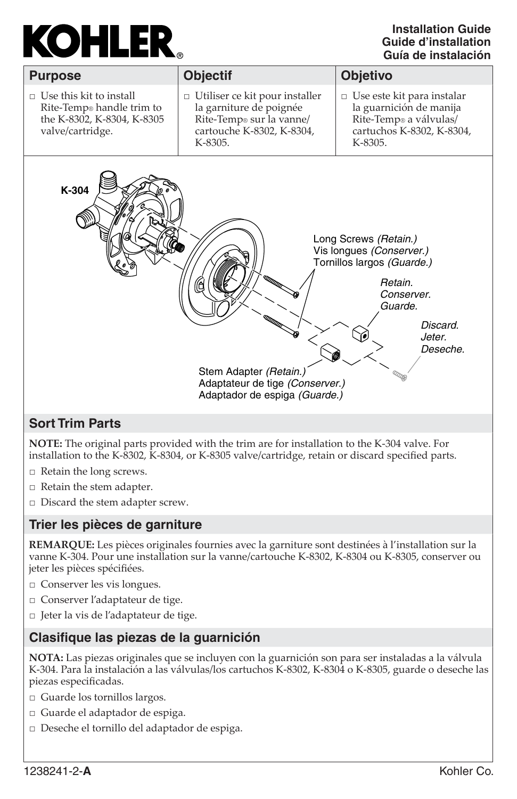# **KOHLER**

#### **Installation GuideGuide d'installationGuía de instalación**

| <b>Purpose</b>                                                                                                            | <b>Objectif</b>                                                                                                                      | <b>Objetivo</b>                                                                                                                                       |
|---------------------------------------------------------------------------------------------------------------------------|--------------------------------------------------------------------------------------------------------------------------------------|-------------------------------------------------------------------------------------------------------------------------------------------------------|
| $\Box$ Use this kit to install<br>Rite-Temp <sup>®</sup> handle trim to<br>the K-8302, K-8304, K-8305<br>valve/cartridge. | $\Box$ Utiliser ce kit pour installer<br>la garniture de poignée<br>Rite-Temp® sur la vanne/<br>cartouche K-8302, K-8304,<br>K-8305. | $\Box$ Use este kit para instalar<br>la guarnición de manija<br>Rite-Temp® a válvulas/<br>cartuchos K-8302, K-8304,<br>K-8305.                        |
| K-304                                                                                                                     | <b>ITARRAY</b><br>Stem Adapter (Retain.)<br>Adaptateur de tige (Conserver.)<br>Adaptador de espiga (Guarde.)                         | Long Screws (Retain.)<br>Vis longues (Conserver.)<br>Tornillos largos (Guarde.)<br>Retain.<br>Conserver.<br>Guarde.<br>Discard.<br>Jeter.<br>Deseche. |

## **Sort Trim Parts**

**NOTE:** The original parts provided with the trim are for installation to the K-304 valve. For installation to the K-8302, K-8304, or K-8305 valve/cartridge, retain or discard specified parts.

- □ Retain the long screws.
- □ Retain the stem adapter.
- □ Discard the stem adapter screw.

### **Trier les pièces de garniture**

**REMARQUE:** Les pièces originales fournies avec la garniture sont destinées à l'installation sur la vanne K-304. Pour une installation sur la vanne/cartouche K-8302, K-8304 ou K-8305, conserver ou jeter les pièces spécifiées.

- □ Conserver les vis longues.
- □ Conserver l'adaptateur de tige.
- □ Jeter la vis de l'adaptateur de tige.

### **Clasifi que las piezas de la guarnición**

**NOTA:** Las piezas originales que se incluyen con la guarnición son para ser instaladas a la válvula K-304. Para la instalación a las válvulas/los cartuchos K-8302, K-8304 o K-8305, guarde o deseche las piezas especificadas.

- □ Guarde los tornillos largos.
- □ Guarde el adaptador de espiga.
- □ Deseche el tornillo del adaptador de espiga.